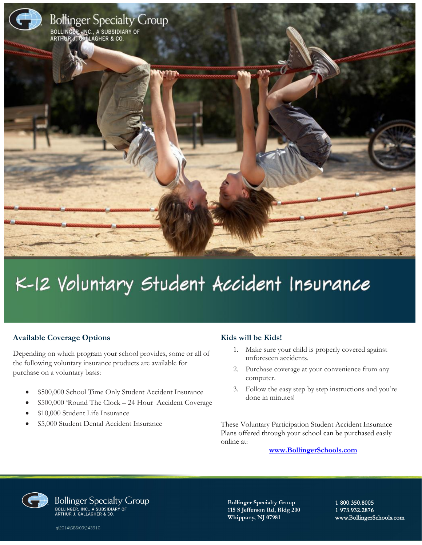

# K-12 Voluntary Student Accident Insurance

## **Available Coverage Options**

Depending on which program your school provides, some or all of the following voluntary insurance products are available for purchase on a voluntary basis:

- \$500,000 School Time Only Student Accident Insurance
- \$500,000 'Round The Clock 24 Hour Accident Coverage
- \$10,000 Student Life Insurance
- \$5,000 Student Dental Accident Insurance

## **Kids will be Kids!**

- 1. Make sure your child is properly covered against unforeseen accidents.
- 2. Purchase coverage at your convenience from any computer.
- 3. Follow the easy step by step instructions and you're done in minutes!

These Voluntary Participation Student Accident Insurance Plans offered through your school can be purchased easily online at:

## **www.BollingerSchools.com**



**Bollinger Specialty Group** BOLLINGER, INC., A SUBSIDIARY OF ARTHUR J. GALLAGHER & CO.

**Bollinger Specialty Group** 115 S Jefferson Rd, Bldg 200 Whippany, NJ 07981

1 800.350.8005 1 973.932.2876 www.BollingerSchools.com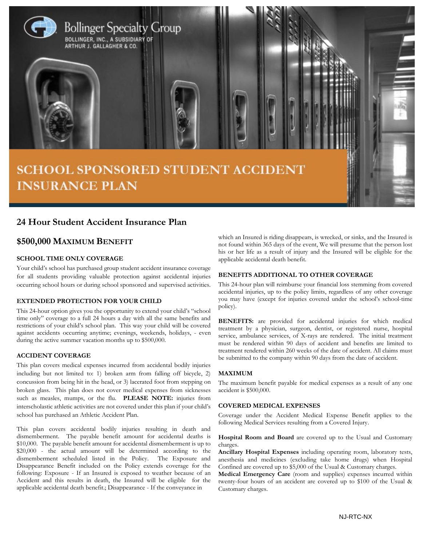

## **24 Hour Student Accident Insurance Plan**

## **\$500,000 MAXIMUM BENEFIT**

### **SCHOOL TIME ONLY COVERAGE**

Your child's school has purchased group student accident insurance coverage for all students providing valuable protection against accidental injuries occurring school hours or during school sponsored and supervised activities.

#### **EXTENDED PROTECTION FOR YOUR CHILD**

This 24-hour option gives you the opportunity to extend your child's "school time only" coverage to a full 24 hours a day with all the same benefits and restrictions of your child's school plan. This way your child will be covered against accidents occurring anytime; evenings, weekends, holidays, - even during the active summer vacation months up to \$500,000.

#### **ACCIDENT COVERAGE**

This plan covers medical expenses incurred from accidental bodily injuries including but not limited to: 1) broken arm from falling off bicycle, 2) concussion from being hit in the head, or 3) lacerated foot from stepping on broken glass. This plan does not cover medical expenses from sicknesses such as measles, mumps, or the flu. **PLEASE NOTE:** injuries from interscholastic athletic activities are not covered under this plan if your child's school has purchased an Athletic Accident Plan.

This plan covers accidental bodily injuries resulting in death and dismemberment. The payable benefit amount for accidental deaths is \$10,000. The payable benefit amount for accidental dismemberment is up to \$20,000 - the actual amount will be determined according to the dismemberment scheduled listed in the Policy. The Exposure and Disappearance Benefit included on the Policy extends coverage for the following: Exposure - If an Insured is exposed to weather because of an Accident and this results in death, the Insured will be eligible for the applicable accidental death benefit.; Disappearance - If the conveyance in

which an Insured is riding disappears, is wrecked, or sinks, and the Insured is not found within 365 days of the event, We will presume that the person lost his or her life as a result of injury and the Insured will be eligible for the applicable accidental death benefit.

## **BENEFITS ADDITIONAL TO OTHER COVERAGE**

This 24-hour plan will reimburse your financial loss stemming from covered accidental injuries, up to the policy limits, regardless of any other coverage you may have (except for injuries covered under the school's school-time policy).

**BENEFITS:** are provided for accidental injuries for which medical treatment by a physician, surgeon, dentist, or registered nurse, hospital service, ambulance services, of X-rays are rendered. The initial treatment must be rendered within 90 days of accident and benefits are limited to treatment rendered within 260 weeks of the date of accident. All claims must be submitted to the company within 90 days from the date of accident.

#### **MAXIMUM**

The maximum benefit payable for medical expenses as a result of any one accident is \$500,000.

### **COVERED MEDICAL EXPENSES**

Coverage under the Accident Medical Expense Benefit applies to the following Medical Services resulting from a Covered Injury.

**Hospital Room and Board** are covered up to the Usual and Customary charges.

**Ancillary Hospital Expenses** including operating room, laboratory tests, anesthesia and medicines (excluding take home drugs) when Hospital Confined are covered up to \$5,000 of the Usual & Customary charges.

**Medical Emergency Care** (room and supplies) expenses incurred within twenty-four hours of an accident are covered up to \$100 of the Usual & Customary charges.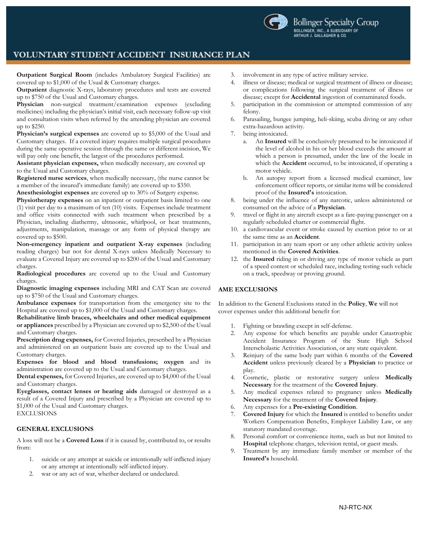

## VOLUNTARY STUDENT ACCIDENT INSURANCE PLAN

**Outpatient Surgical Room** (includes Ambulatory Surgical Facilities) are covered up to \$1,000 of the Usual & Customary charges.

**Outpatient** diagnostic X-rays, laboratory procedures and tests are covered up to \$750 of the Usual and Customary charges.

**Physician** non-surgical treatment/examination expenses (excluding medicines) including the physician's initial visit, each necessary follow-up visit and consultation visits when referred by the attending physician are covered up to \$250.

**Physician's surgical expenses** are covered up to \$5,000 of the Usual and Customary charges. If a covered injury requires multiple surgical procedures during the same operative session through the same or different incision, We will pay only one benefit, the largest of the procedures performed.

**Assistant physician expenses,** when medically necessary, are covered up to the Usual and Customary charges.

**Registered nurse services**, when medically necessary, (the nurse cannot be a member of the insured's immediate family) are covered up to \$350.

**Anesthesiologist expenses** are covered up to 30% of Surgery expense.

**Physiotherapy expenses** on an inpatient or outpatient basis limited to one (1) visit per day to a maximum of ten (10) visits. Expenses include treatment and office visits connected with such treatment when prescribed by a Physician, including diathermy, ultrasonic, whirlpool, or heat treatments, adjustments, manipulation, massage or any form of physical therapy are covered up to \$500.

**Non-emergency inpatient and outpatient X-ray expenses** (including reading charges) but not for dental X-rays unless Medically Necessary to evaluate a Covered Injury are covered up to \$200 of the Usual and Customary charges.

**Radiological procedures** are covered up to the Usual and Customary charges.

**Diagnostic imaging expenses** including MRI and CAT Scan are covered up to \$750 of the Usual and Customary charges.

**Ambulance expenses** for transportation from the emergency site to the Hospital are covered up to \$1,000 of the Usual and Customary charges.

**Rehabilitative limb braces, wheelchairs and other medical equipment or appliances** prescribed by a Physician are covered up to \$2,500 of the Usual and Customary charges.

**Prescription drug expenses,** for Covered Injuries, prescribed by a Physician and administered on an outpatient basis are covered up to the Usual and Customary charges.

**Expenses for blood and blood transfusions; oxygen** and its administration are covered up to the Usual and Customary charges.

**Dental expenses,** for Covered Injuries, are covered up to \$4,000 of the Usual and Customary charges.

**Eyeglasses, contact lenses or hearing aids** damaged or destroyed as a result of a Covered Injury and prescribed by a Physician are covered up to \$1,000 of the Usual and Customary charges. EXCLUSIONS

#### **GENERAL EXCLUSIONS**

A loss will not be a **Covered Loss** if it is caused by, contributed to, or results from:

- 1. suicide or any attempt at suicide or intentionally self-inflicted injury or any attempt at intentionally self-inflicted injury.
- 2. war or any act of war, whether declared or undeclared.
- 3. involvement in any type of active military service.
- 4. illness or disease; medical or surgical treatment of illness or disease; or complications following the surgical treatment of illness or disease; except for **Accidental** ingestion of contaminated foods.
- 5. participation in the commission or attempted commission of any felony.
- 6. Parasailing, bungee jumping, heli-skiing, scuba diving or any other extra-hazardous activity.
- 7. being intoxicated.
	- a. An **Insured** will be conclusively presumed to be intoxicated if the level of alcohol in his or her blood exceeds the amount at which a person is presumed, under the law of the locale in which the **Accident** occurred, to be intoxicated, if operating a motor vehicle.
	- b. An autopsy report from a licensed medical examiner, law enforcement officer reports, or similar items will be considered proof of the **Insured's** intoxication.
- 8. being under the influence of any narcotic, unless administered or consumed on the advice of a **Physician**.
- 9. travel or flight in any aircraft except as a fare-paying passenger on a regularly scheduled charter or commercial flight.
- 10. a cardiovascular event or stroke caused by exertion prior to or at the same time as an **Accident**.
- 11. participation in any team sport or any other athletic activity unless mentioned in the **Covered Activities**.
- 12. the **Insured** riding in or driving any type of motor vehicle as part of a speed contest or scheduled race, including testing such vehicle on a track, speedway or proving ground.

#### **AME EXCLUSIONS**

In addition to the General Exclusions stated in the **Policy**, **We** will not cover expenses under this additional benefit for:

- 1. Fighting or brawling except in self-defense.
- 2. Any expense for which benefits are payable under Catastrophic Accident Insurance Program of the State High School Interscholastic Activities Association, or any state equivalent.
- 3. Reinjury of the same body part within 6 months of the **Covered Accident** unless previously cleared by a **Physician** to practice or play.
- 4. Cosmetic, plastic or restorative surgery unless **Medically Necessary** for the treatment of the **Covered Injury**.
- 5. Any medical expenses related to pregnancy unless **Medically Necessary** for the treatment of the **Covered Injury**.
- 6. Any expenses for a **Pre-existing Condition**.
- 7. **Covered Injury** for which the **Insured** is entitled to benefits under Workers Compensation Benefits, Employer Liability Law, or any statutory mandated coverage.
- 8. Personal comfort or convenience items, such as but not limited to **Hospital** telephone charges, television rental, or guest meals.
- 9. Treatment by any immediate family member or member of the **Insured's** household.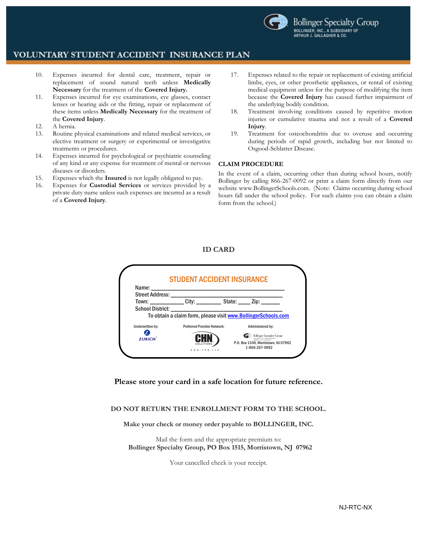

## VOLUNTARY STUDENT ACCIDENT INSURANCE PLAN

- 10. Expenses incurred for dental care, treatment, repair or replacement of sound natural teeth unless **Medically Necessary** for the treatment of the **Covered Injury.**
- 11. Expenses incurred for eye examinations, eye glasses, contact lenses or hearing aids or the fitting, repair or replacement of these items unless **Medically Necessary** for the treatment of the **Covered Injury**.
- 12. A hernia.
- 13. Routine physical examinations and related medical services, or elective treatment or surgery or experimental or investigative treatments or procedures.
- 14. Expenses incurred for psychological or psychiatric counseling of any kind or any expense for treatment of mental or nervous diseases or disorders.
- 15. Expenses which the **Insured** is not legally obligated to pay.
- 16. Expenses for **Custodial Services** or services provided by a private duty nurse unless such expenses are incurred as a result of a **Covered Injury**.
- 17. Expenses related to the repair or replacement of existing artificial limbs, eyes, or other prosthetic appliances, or rental of existing medical equipment unless for the purpose of modifying the item because the **Covered Injury** has caused further impairment of the underlying bodily condition.
- 18. Treatment involving conditions caused by repetitive motion injuries or cumulative trauma and not a result of a **Covered Injury**.
- 19. Treatment for osteochondritis due to overuse and occurring during periods of rapid growth, including but not limited to Osgood-Schlatter Disease.

## **CLAIM PROCEDURE**

In the event of a claim, occurring other than during school hours, notify Bollinger by calling 866-267-0092 or print a claim form directly from our websit[e www.BollingerSchools.com.](http://www.bollingerschools.com/) (Note: Claims occurring during school hours fall under the school policy. For such claims you can obtain a claim form from the school.)

## **ID CARD**

|                                  | <b>STUDENT ACCIDENT INSURANCE</b>  |                                                                                           |
|----------------------------------|------------------------------------|-------------------------------------------------------------------------------------------|
| Name:<br><b>Street Address:</b>  |                                    |                                                                                           |
| Town:<br><b>School District:</b> | City:                              | State: Zip:                                                                               |
|                                  |                                    | To obtain a claim form, please visit www.BollingerSchools.com                             |
| Underwritten by:                 | <b>Preferred Provider Network:</b> | Administered by:                                                                          |
| <b>ZURICH</b>                    | SOLUTIONS<br>www.CHN.com           | <b>Bollinger Specialty Group</b><br>P.O. Box 1346, Morristown, NJ 07962<br>1-866-267-0092 |

**Please store your card in a safe location for future reference.**

## **DO NOT RETURN THE ENROLLMENT FORM TO THE SCHOOL.**

**Make your check or money order payable to BOLLINGER, INC.** 

Mail the form and the appropriate premium to: **Bollinger Specialty Group, PO Box 1515, Morristown, NJ 07962**

Your cancelled check is your receipt.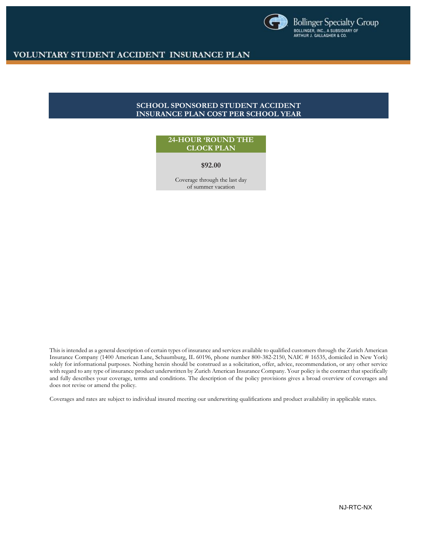

## VOLUNTARY STUDENT ACCIDENT INSURANCE PLAN

## **SCHOOL SPONSORED STUDENT ACCIDENT INSURANCE PLAN COST PER SCHOOL YEAR**

## **24-HOUR 'ROUND THE CLOCK PLAN**

#### **\$92.00**

Coverage through the last day of summer vacation

This is intended as a general description of certain types of insurance and services available to qualified customers through the Zurich American Insurance Company (1400 American Lane, Schaumburg, IL 60196, phone number 800-382-2150, NAIC # 16535, domiciled in New York) solely for informational purposes. Nothing herein should be construed as a solicitation, offer, advice, recommendation, or any other service with regard to any type of insurance product underwritten by Zurich American Insurance Company. Your policy is the contract that specifically and fully describes your coverage, terms and conditions. The description of the policy provisions gives a broad overview of coverages and does not revise or amend the policy.

Coverages and rates are subject to individual insured meeting our underwriting qualifications and product availability in applicable states.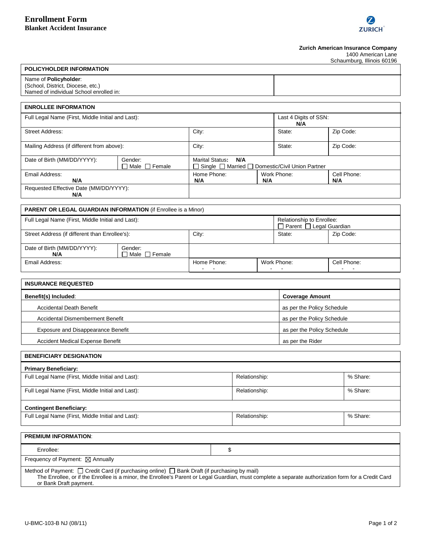

**Zurich American Insurance Company**

|                            | 1400 American Lane |
|----------------------------|--------------------|
| Schaumburg, Illinois 60196 |                    |

#### r m **POLICYHOLDER INFORMATION**

#### nl. Name of **Policyholder**:

u (School, District, Diocese, etc.) Named of individual School enrolled in:

## t **ENROLLEE INFORMATION**

s

| Full Legal Name (First, Middle Initial and Last): |                                      | Last 4 Digits of SSN:<br>N/A                                                            |     |             |                    |
|---------------------------------------------------|--------------------------------------|-----------------------------------------------------------------------------------------|-----|-------------|--------------------|
| <b>Street Address:</b>                            |                                      | City:                                                                                   |     | State:      | Zip Code:          |
| Mailing Address (if different from above):        |                                      | City:                                                                                   |     | State:      | Zip Code:          |
| Date of Birth (MM/DD/YYYY):                       | Gender:<br>$\Box$ Male $\Box$ Female | Marital Status: N/A<br>$\Box$ Single $\Box$ Married $\Box$ Domestic/Civil Union Partner |     |             |                    |
| Email Address:<br>N/A                             |                                      | Home Phone:<br>N/A                                                                      | N/A | Work Phone: | Cell Phone:<br>N/A |
| Requested Effective Date (MM/DD/YYYY):<br>N/A     |                                      |                                                                                         |     |             |                    |

| <b>PARENT OR LEGAL GUARDIAN INFORMATION (if Enrollee is a Minor)</b> |                                      |                                                                  |     |             |                         |
|----------------------------------------------------------------------|--------------------------------------|------------------------------------------------------------------|-----|-------------|-------------------------|
| Full Legal Name (First, Middle Initial and Last):                    |                                      | Relationship to Enrollee:<br>$\Box$ Parent $\Box$ Legal Guardian |     |             |                         |
| Street Address (if different than Enrollee's):                       |                                      | City:                                                            |     | State:      | Zip Code:               |
| Date of Birth (MM/DD/YYYY):<br>N/A                                   | Gender:<br>$\Box$ Male $\Box$ Female |                                                                  |     |             |                         |
| Email Address:                                                       |                                      | Home Phone:                                                      | . . | Work Phone: | Cell Phone:<br>-<br>. . |

| <b>INSURANCE REQUESTED</b>              |                            |  |  |
|-----------------------------------------|----------------------------|--|--|
| Benefit(s) Included:                    | <b>Coverage Amount</b>     |  |  |
| <b>Accidental Death Benefit</b>         | as per the Policy Schedule |  |  |
| Accidental Dismemberment Benefit        | as per the Policy Schedule |  |  |
| Exposure and Disappearance Benefit      | as per the Policy Schedule |  |  |
| <b>Accident Medical Expense Benefit</b> | as per the Rider           |  |  |

| <b>BENEFICIARY DESIGNATION</b>                    |               |          |
|---------------------------------------------------|---------------|----------|
| <b>Primary Beneficiary:</b>                       |               |          |
| Full Legal Name (First, Middle Initial and Last): | Relationship: | % Share: |
| Full Legal Name (First, Middle Initial and Last): | Relationship: | % Share: |
| <b>Contingent Beneficiary:</b>                    |               |          |
| Full Legal Name (First, Middle Initial and Last): | Relationship: | % Share: |
|                                                   |               |          |
| <b>PREMIUM INFORMATION:</b>                       |               |          |
| Enrollee:                                         | \$            |          |

Frequency of Payment:  $\boxtimes$  Annually

Method of Payment:  $\Box$  Credit Card (if purchasing online)  $\Box$  Bank Draft (if purchasing by mail)

The Enrollee, or if the Enrollee is a minor, the Enrollee's Parent or Legal Guardian, must complete a separate authorization form for a Credit Card or Bank Draft payment.